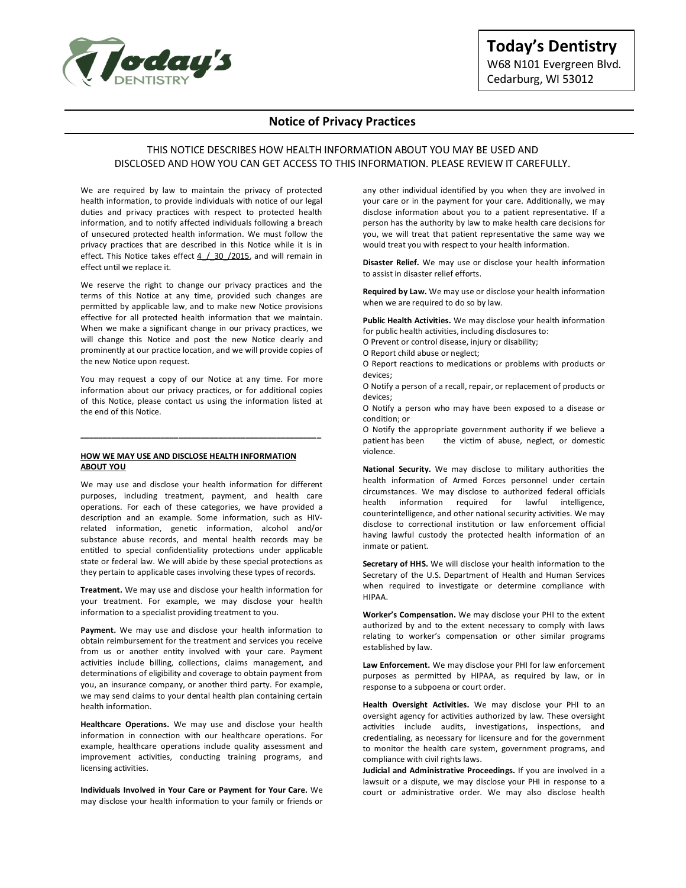

# **Today's Dentistry**  W68 N101 Evergreen Blvd. Cedarburg, WI 53012

# **Notice of Privacy Practices**

# THIS NOTICE DESCRIBES HOW HEALTH INFORMATION ABOUT YOU MAY BE USED AND DISCLOSED AND HOW YOU CAN GET ACCESS TO THIS INFORMATION. PLEASE REVIEW IT CAREFULLY.

We are required by law to maintain the privacy of protected health information, to provide individuals with notice of our legal duties and privacy practices with respect to protected health information, and to notify affected individuals following a breach of unsecured protected health information. We must follow the privacy practices that are described in this Notice while it is in effect. This Notice takes effect  $4/30/2015$ , and will remain in effect until we replace it.

We reserve the right to change our privacy practices and the terms of this Notice at any time, provided such changes are permitted by applicable law, and to make new Notice provisions effective for all protected health information that we maintain. When we make a significant change in our privacy practices, we will change this Notice and post the new Notice clearly and prominently at our practice location, and we will provide copies of the new Notice upon request.

You may request a copy of our Notice at any time. For more information about our privacy practices, or for additional copies of this Notice, please contact us using the information listed at the end of this Notice.

**\_\_\_\_\_\_\_\_\_\_\_\_\_\_\_\_\_\_\_\_\_\_\_\_\_\_\_\_\_\_\_\_\_\_\_\_\_\_\_\_\_\_\_\_\_\_\_\_\_\_\_\_\_\_**

## **HOW WE MAY USE AND DISCLOSE HEALTH INFORMATION ABOUT YOU**

We may use and disclose your health information for different purposes, including treatment, payment, and health care operations. For each of these categories, we have provided a description and an example. Some information, such as HIVrelated information, genetic information, alcohol and/or substance abuse records, and mental health records may be entitled to special confidentiality protections under applicable state or federal law. We will abide by these special protections as they pertain to applicable cases involving these types of records.

**Treatment.** We may use and disclose your health information for your treatment. For example, we may disclose your health information to a specialist providing treatment to you.

**Payment.** We may use and disclose your health information to obtain reimbursement for the treatment and services you receive from us or another entity involved with your care. Payment activities include billing, collections, claims management, and determinations of eligibility and coverage to obtain payment from you, an insurance company, or another third party. For example, we may send claims to your dental health plan containing certain health information.

**Healthcare Operations.** We may use and disclose your health information in connection with our healthcare operations. For example, healthcare operations include quality assessment and improvement activities, conducting training programs, and licensing activities.

**Individuals Involved in Your Care or Payment for Your Care.** We may disclose your health information to your family or friends or any other individual identified by you when they are involved in your care or in the payment for your care. Additionally, we may disclose information about you to a patient representative. If a person has the authority by law to make health care decisions for you, we will treat that patient representative the same way we would treat you with respect to your health information.

**Disaster Relief.** We may use or disclose your health information to assist in disaster relief efforts.

**Required by Law.** We may use or disclose your health information when we are required to do so by law.

**Public Health Activities.** We may disclose your health information for public health activities, including disclosures to:

O Prevent or control disease, injury or disability;

O Report child abuse or neglect;

O Report reactions to medications or problems with products or devices;

O Notify a person of a recall, repair, or replacement of products or devices;

O Notify a person who may have been exposed to a disease or condition; or

O Notify the appropriate government authority if we believe a patient has been the victim of abuse, neglect, or domestic violence.

**National Security.** We may disclose to military authorities the health information of Armed Forces personnel under certain circumstances. We may disclose to authorized federal officials health information required for lawful intelligence, counterintelligence, and other national security activities. We may disclose to correctional institution or law enforcement official having lawful custody the protected health information of an inmate or patient.

**Secretary of HHS.** We will disclose your health information to the Secretary of the U.S. Department of Health and Human Services when required to investigate or determine compliance with HIPAA.

**Worker's Compensation.** We may disclose your PHI to the extent authorized by and to the extent necessary to comply with laws relating to worker's compensation or other similar programs established by law.

**Law Enforcement.** We may disclose your PHI for law enforcement purposes as permitted by HIPAA, as required by law, or in response to a subpoena or court order.

**Health Oversight Activities.** We may disclose your PHI to an oversight agency for activities authorized by law. These oversight activities include audits, investigations, inspections, and credentialing, as necessary for licensure and for the government to monitor the health care system, government programs, and compliance with civil rights laws.

**Judicial and Administrative Proceedings.** If you are involved in a lawsuit or a dispute, we may disclose your PHI in response to a court or administrative order. We may also disclose health